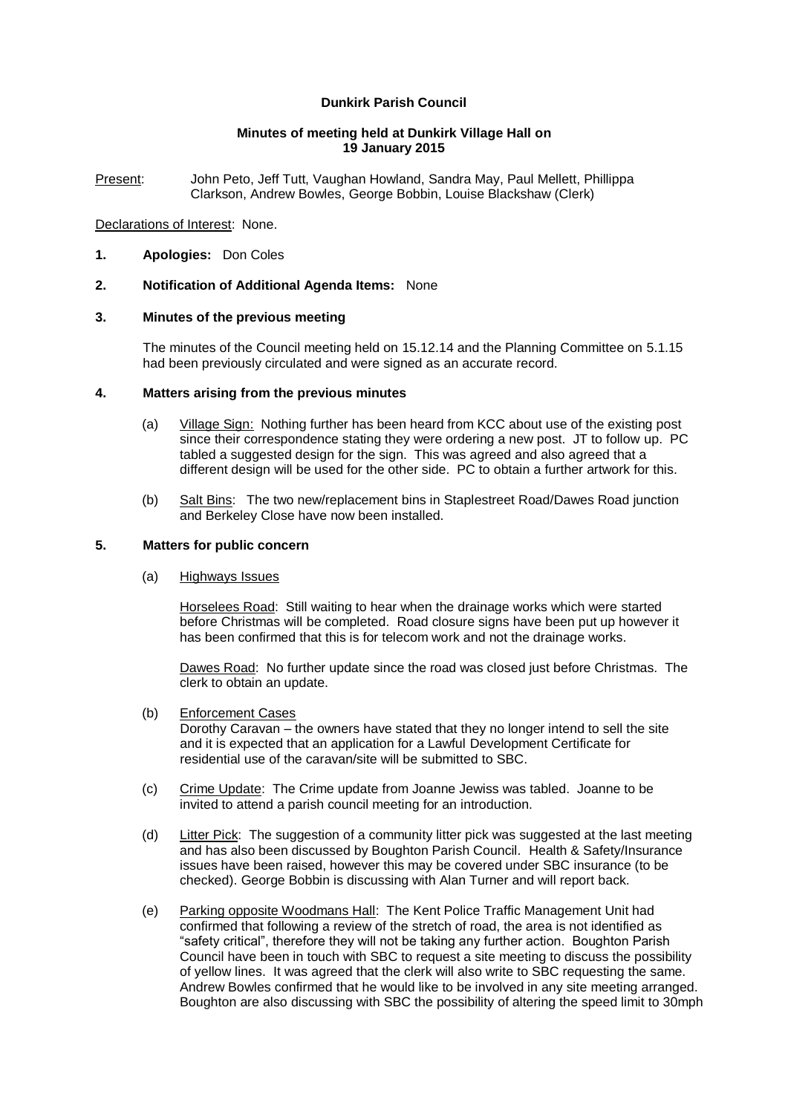# **Dunkirk Parish Council**

### **Minutes of meeting held at Dunkirk Village Hall on 19 January 2015**

Present: John Peto, Jeff Tutt, Vaughan Howland, Sandra May, Paul Mellett, Phillippa Clarkson, Andrew Bowles, George Bobbin, Louise Blackshaw (Clerk)

### Declarations of Interest: None.

**1. Apologies:** Don Coles

## **2. Notification of Additional Agenda Items:** None

## **3. Minutes of the previous meeting**

The minutes of the Council meeting held on 15.12.14 and the Planning Committee on 5.1.15 had been previously circulated and were signed as an accurate record.

#### **4. Matters arising from the previous minutes**

- (a) Village Sign: Nothing further has been heard from KCC about use of the existing post since their correspondence stating they were ordering a new post. JT to follow up. PC tabled a suggested design for the sign. This was agreed and also agreed that a different design will be used for the other side. PC to obtain a further artwork for this.
- (b) Salt Bins: The two new/replacement bins in Staplestreet Road/Dawes Road junction and Berkeley Close have now been installed.

## **5. Matters for public concern**

### (a) Highways Issues

Horselees Road: Still waiting to hear when the drainage works which were started before Christmas will be completed. Road closure signs have been put up however it has been confirmed that this is for telecom work and not the drainage works.

Dawes Road: No further update since the road was closed just before Christmas. The clerk to obtain an update.

(b) Enforcement Cases

Dorothy Caravan – the owners have stated that they no longer intend to sell the site and it is expected that an application for a Lawful Development Certificate for residential use of the caravan/site will be submitted to SBC.

- (c) Crime Update: The Crime update from Joanne Jewiss was tabled. Joanne to be invited to attend a parish council meeting for an introduction.
- (d) Litter Pick: The suggestion of a community litter pick was suggested at the last meeting and has also been discussed by Boughton Parish Council. Health & Safety/Insurance issues have been raised, however this may be covered under SBC insurance (to be checked). George Bobbin is discussing with Alan Turner and will report back.
- (e) Parking opposite Woodmans Hall: The Kent Police Traffic Management Unit had confirmed that following a review of the stretch of road, the area is not identified as "safety critical", therefore they will not be taking any further action. Boughton Parish Council have been in touch with SBC to request a site meeting to discuss the possibility of yellow lines. It was agreed that the clerk will also write to SBC requesting the same. Andrew Bowles confirmed that he would like to be involved in any site meeting arranged. Boughton are also discussing with SBC the possibility of altering the speed limit to 30mph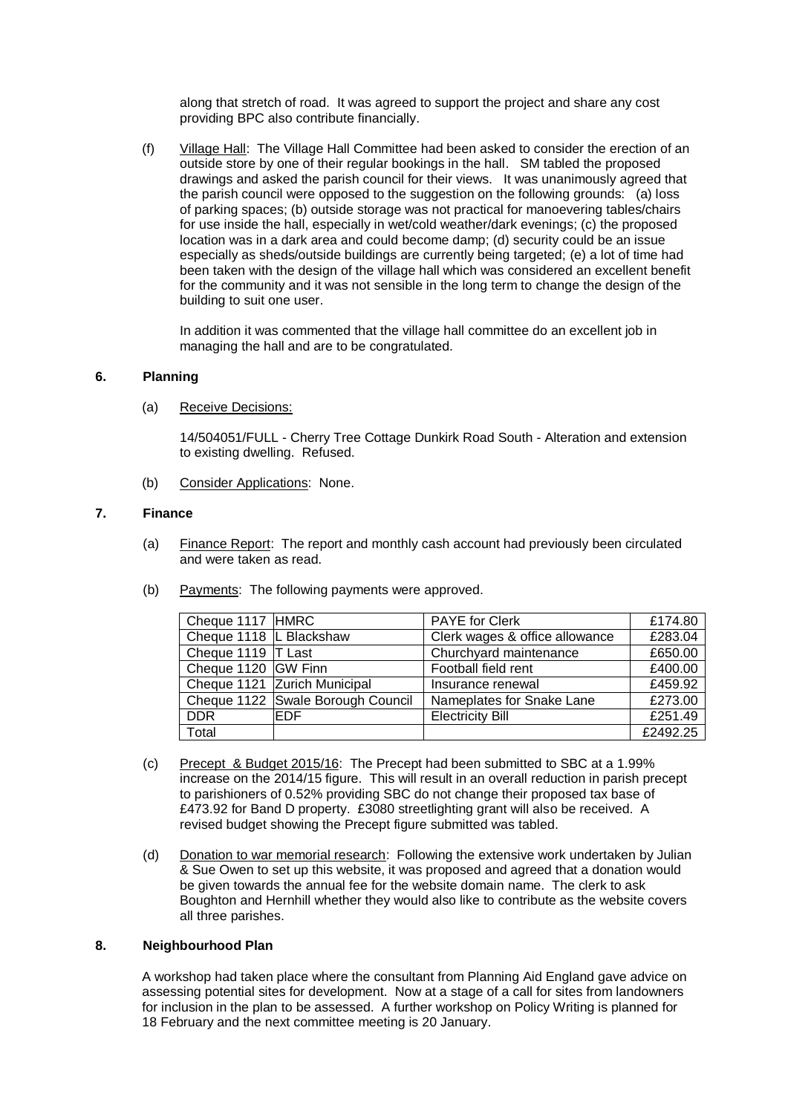along that stretch of road. It was agreed to support the project and share any cost providing BPC also contribute financially.

(f) Village Hall: The Village Hall Committee had been asked to consider the erection of an outside store by one of their regular bookings in the hall. SM tabled the proposed drawings and asked the parish council for their views. It was unanimously agreed that the parish council were opposed to the suggestion on the following grounds: (a) loss of parking spaces; (b) outside storage was not practical for manoevering tables/chairs for use inside the hall, especially in wet/cold weather/dark evenings; (c) the proposed location was in a dark area and could become damp; (d) security could be an issue especially as sheds/outside buildings are currently being targeted; (e) a lot of time had been taken with the design of the village hall which was considered an excellent benefit for the community and it was not sensible in the long term to change the design of the building to suit one user.

In addition it was commented that the village hall committee do an excellent job in managing the hall and are to be congratulated.

## **6. Planning**

(a) Receive Decisions:

14/504051/FULL - Cherry Tree Cottage Dunkirk Road South - Alteration and extension to existing dwelling. Refused.

(b) Consider Applications: None.

## **7. Finance**

- (a) Finance Report: The report and monthly cash account had previously been circulated and were taken as read.
- (b) Payments: The following payments were approved.

| Cheque 1117 HMRC          |                                   | <b>PAYE for Clerk</b>          | £174.80  |
|---------------------------|-----------------------------------|--------------------------------|----------|
| Cheque 1118   L Blackshaw |                                   | Clerk wages & office allowance | £283.04  |
| Cheque 1119  T Last       |                                   | Churchyard maintenance         | £650.00  |
| Cheque 1120 GW Finn       |                                   | Football field rent            | £400.00  |
|                           | Cheque 1121 Zurich Municipal      | Insurance renewal              | £459.92  |
|                           | Cheque 1122 Swale Borough Council | Nameplates for Snake Lane      | £273.00  |
| <b>DDR</b>                | IEDF                              | <b>Electricity Bill</b>        | £251.49  |
| Total                     |                                   |                                | £2492.25 |

- (c) Precept & Budget 2015/16: The Precept had been submitted to SBC at a 1.99% increase on the 2014/15 figure. This will result in an overall reduction in parish precept to parishioners of 0.52% providing SBC do not change their proposed tax base of £473.92 for Band D property. £3080 streetlighting grant will also be received. A revised budget showing the Precept figure submitted was tabled.
- (d) Donation to war memorial research: Following the extensive work undertaken by Julian & Sue Owen to set up this website, it was proposed and agreed that a donation would be given towards the annual fee for the website domain name. The clerk to ask Boughton and Hernhill whether they would also like to contribute as the website covers all three parishes.

### **8. Neighbourhood Plan**

A workshop had taken place where the consultant from Planning Aid England gave advice on assessing potential sites for development. Now at a stage of a call for sites from landowners for inclusion in the plan to be assessed. A further workshop on Policy Writing is planned for 18 February and the next committee meeting is 20 January.